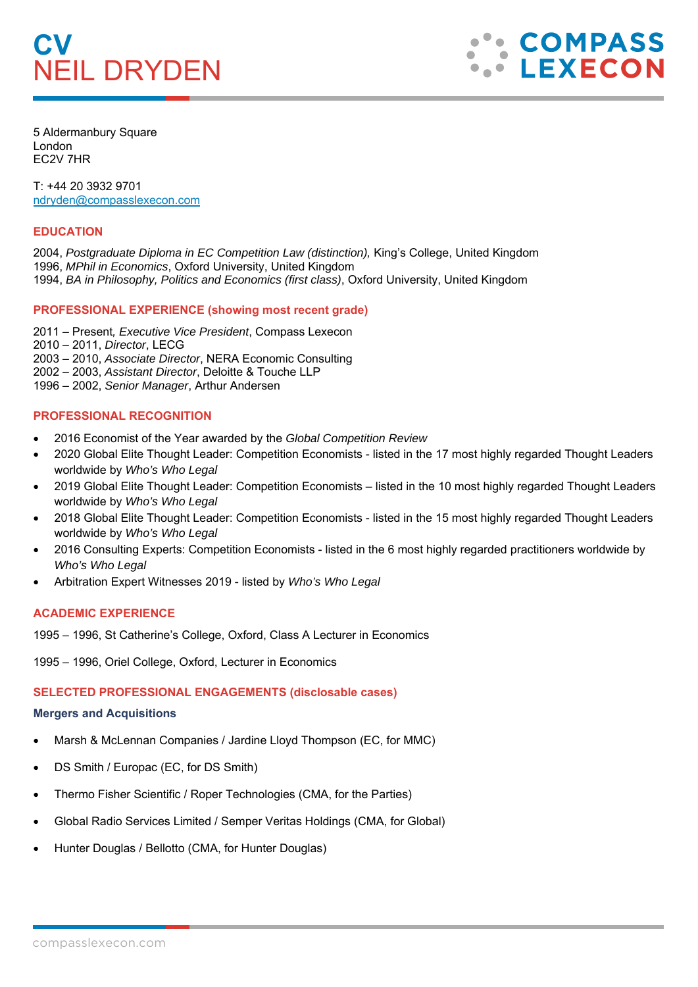# **CV**  NEIL DRYDEN



5 Aldermanbury Square London EC2V 7HR

T: +44 20 3932 9701 ndryden@compasslexecon.com

### **EDUCATION**

2004, *Postgraduate Diploma in EC Competition Law (distinction),* King's College, United Kingdom 1996, *MPhil in Economics*, Oxford University, United Kingdom

1994, *BA in Philosophy, Politics and Economics (first class)*, Oxford University, United Kingdom

# **PROFESSIONAL EXPERIENCE (showing most recent grade)**

2011 – Present*, Executive Vice President*, Compass Lexecon

2010 – 2011, *Director*, LECG

2003 – 2010, *Associate Director*, NERA Economic Consulting

2002 – 2003, *Assistant Director*, Deloitte & Touche LLP

1996 – 2002, *Senior Manager*, Arthur Andersen

# **PROFESSIONAL RECOGNITION**

- 2016 Economist of the Year awarded by the *Global Competition Review*
- 2020 Global Elite Thought Leader: Competition Economists listed in the 17 most highly regarded Thought Leaders worldwide by *Who's Who Legal*
- 2019 Global Elite Thought Leader: Competition Economists listed in the 10 most highly regarded Thought Leaders worldwide by *Who's Who Legal*
- 2018 Global Elite Thought Leader: Competition Economists listed in the 15 most highly regarded Thought Leaders worldwide by *Who's Who Legal*
- 2016 Consulting Experts: Competition Economists listed in the 6 most highly regarded practitioners worldwide by *Who's Who Legal*
- Arbitration Expert Witnesses 2019 listed by *Who's Who Legal*

# **ACADEMIC EXPERIENCE**

1995 – 1996, St Catherine's College, Oxford, Class A Lecturer in Economics

1995 – 1996, Oriel College, Oxford, Lecturer in Economics

# **SELECTED PROFESSIONAL ENGAGEMENTS (disclosable cases)**

#### **Mergers and Acquisitions**

- Marsh & McLennan Companies / Jardine Lloyd Thompson (EC, for MMC)
- DS Smith / Europac (EC, for DS Smith)
- Thermo Fisher Scientific / Roper Technologies (CMA, for the Parties)
- Global Radio Services Limited / Semper Veritas Holdings (CMA, for Global)
- Hunter Douglas / Bellotto (CMA, for Hunter Douglas)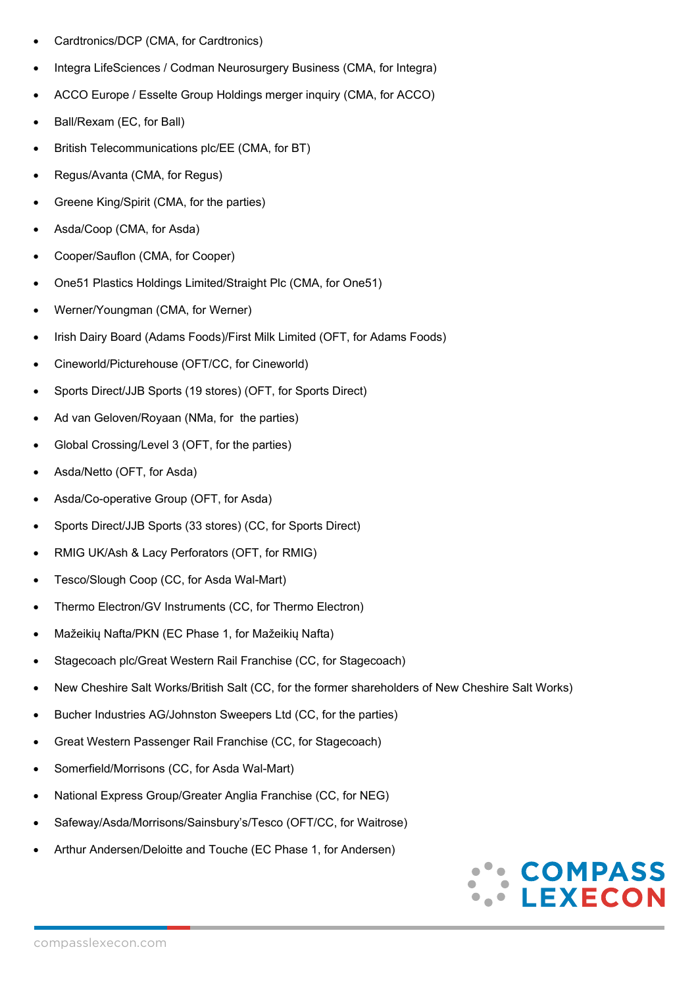- Cardtronics/DCP (CMA, for Cardtronics)
- Integra LifeSciences / Codman Neurosurgery Business (CMA, for Integra)
- ACCO Europe / Esselte Group Holdings merger inquiry (CMA, for ACCO)
- Ball/Rexam (EC, for Ball)
- British Telecommunications plc/EE (CMA, for BT)
- Regus/Avanta (CMA, for Regus)
- Greene King/Spirit (CMA, for the parties)
- Asda/Coop (CMA, for Asda)
- Cooper/Sauflon (CMA, for Cooper)
- One51 Plastics Holdings Limited/Straight Plc (CMA, for One51)
- Werner/Youngman (CMA, for Werner)
- Irish Dairy Board (Adams Foods)/First Milk Limited (OFT, for Adams Foods)
- Cineworld/Picturehouse (OFT/CC, for Cineworld)
- Sports Direct/JJB Sports (19 stores) (OFT, for Sports Direct)
- Ad van Geloven/Royaan (NMa, for the parties)
- Global Crossing/Level 3 (OFT, for the parties)
- Asda/Netto (OFT, for Asda)
- Asda/Co-operative Group (OFT, for Asda)
- Sports Direct/JJB Sports (33 stores) (CC, for Sports Direct)
- RMIG UK/Ash & Lacy Perforators (OFT, for RMIG)
- Tesco/Slough Coop (CC, for Asda Wal-Mart)
- Thermo Electron/GV Instruments (CC, for Thermo Electron)
- Mažeikių Nafta/PKN (EC Phase 1, for Mažeikių Nafta)
- Stagecoach plc/Great Western Rail Franchise (CC, for Stagecoach)
- New Cheshire Salt Works/British Salt (CC, for the former shareholders of New Cheshire Salt Works)
- Bucher Industries AG/Johnston Sweepers Ltd (CC, for the parties)
- Great Western Passenger Rail Franchise (CC, for Stagecoach)
- Somerfield/Morrisons (CC, for Asda Wal-Mart)
- National Express Group/Greater Anglia Franchise (CC, for NEG)
- Safeway/Asda/Morrisons/Sainsbury's/Tesco (OFT/CC, for Waitrose)
- Arthur Andersen/Deloitte and Touche (EC Phase 1, for Andersen)

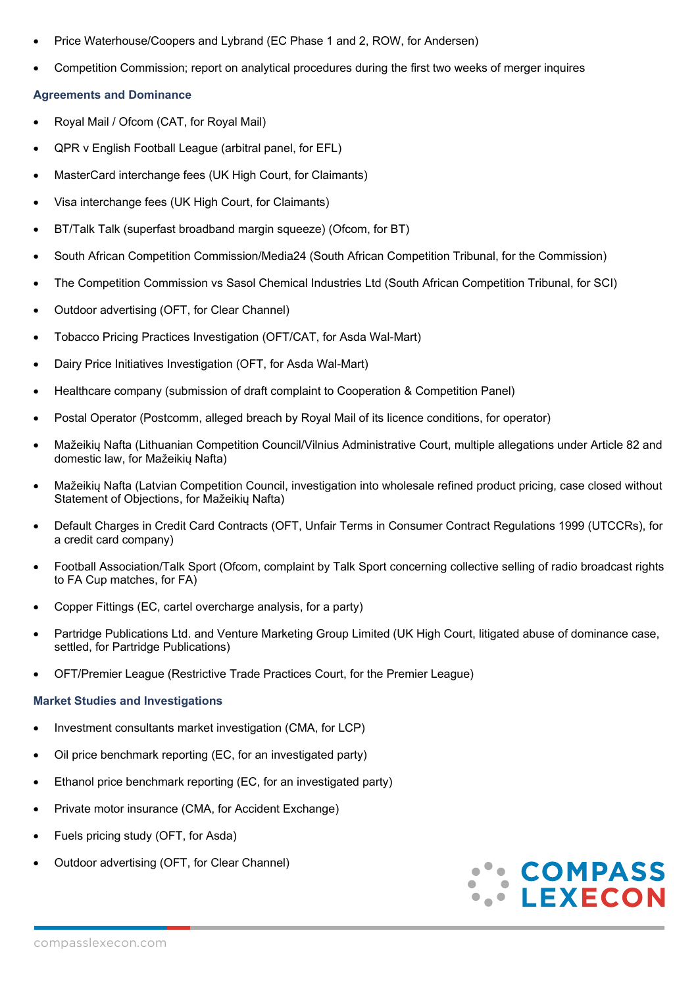- Price Waterhouse/Coopers and Lybrand (EC Phase 1 and 2, ROW, for Andersen)
- Competition Commission; report on analytical procedures during the first two weeks of merger inquires

### **Agreements and Dominance**

- Royal Mail / Ofcom (CAT, for Royal Mail)
- QPR v English Football League (arbitral panel, for EFL)
- MasterCard interchange fees (UK High Court, for Claimants)
- Visa interchange fees (UK High Court, for Claimants)
- BT/Talk Talk (superfast broadband margin squeeze) (Ofcom, for BT)
- South African Competition Commission/Media24 (South African Competition Tribunal, for the Commission)
- The Competition Commission vs Sasol Chemical Industries Ltd (South African Competition Tribunal, for SCI)
- Outdoor advertising (OFT, for Clear Channel)
- Tobacco Pricing Practices Investigation (OFT/CAT, for Asda Wal-Mart)
- Dairy Price Initiatives Investigation (OFT, for Asda Wal-Mart)
- Healthcare company (submission of draft complaint to Cooperation & Competition Panel)
- Postal Operator (Postcomm, alleged breach by Royal Mail of its licence conditions, for operator)
- Mažeikių Nafta (Lithuanian Competition Council/Vilnius Administrative Court, multiple allegations under Article 82 and domestic law, for Mažeikių Nafta)
- Mažeikių Nafta (Latvian Competition Council, investigation into wholesale refined product pricing, case closed without Statement of Objections, for Mažeikių Nafta)
- Default Charges in Credit Card Contracts (OFT, Unfair Terms in Consumer Contract Regulations 1999 (UTCCRs), for a credit card company)
- Football Association/Talk Sport (Ofcom, complaint by Talk Sport concerning collective selling of radio broadcast rights to FA Cup matches, for FA)
- Copper Fittings (EC, cartel overcharge analysis, for a party)
- Partridge Publications Ltd. and Venture Marketing Group Limited (UK High Court, litigated abuse of dominance case, settled, for Partridge Publications)
- OFT/Premier League (Restrictive Trade Practices Court, for the Premier League)

#### **Market Studies and Investigations**

- Investment consultants market investigation (CMA, for LCP)
- Oil price benchmark reporting (EC, for an investigated party)
- Ethanol price benchmark reporting (EC, for an investigated party)
- Private motor insurance (CMA, for Accident Exchange)
- Fuels pricing study (OFT, for Asda)
- Outdoor advertising (OFT, for Clear Channel)

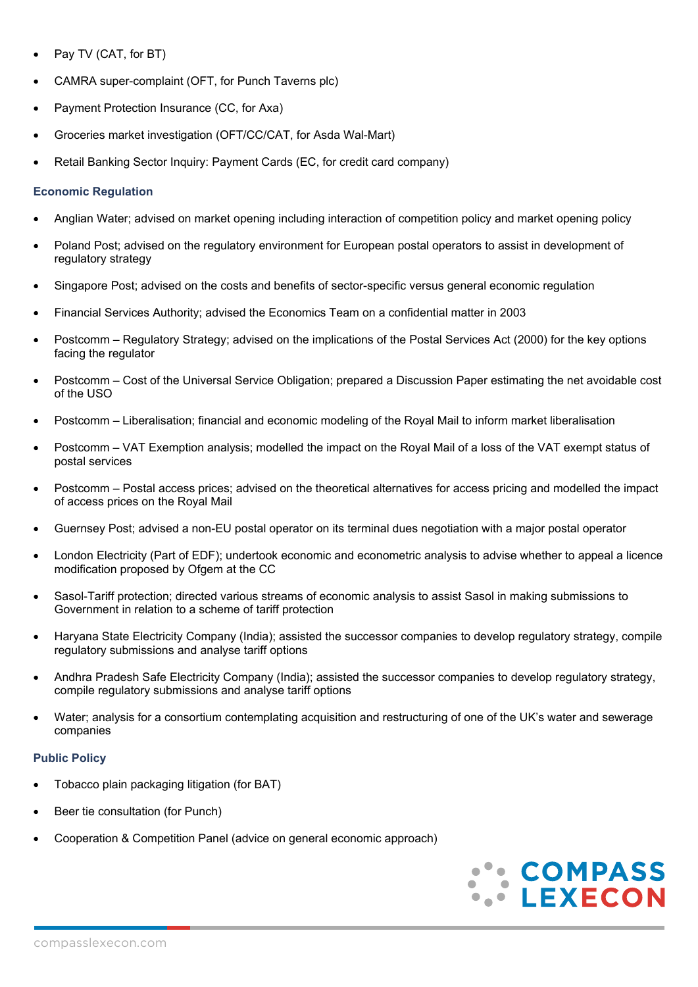- Pay TV (CAT, for BT)
- CAMRA super-complaint (OFT, for Punch Taverns plc)
- Payment Protection Insurance (CC, for Axa)
- Groceries market investigation (OFT/CC/CAT, for Asda Wal-Mart)
- Retail Banking Sector Inquiry: Payment Cards (EC, for credit card company)

### **Economic Regulation**

- Anglian Water; advised on market opening including interaction of competition policy and market opening policy
- Poland Post; advised on the regulatory environment for European postal operators to assist in development of regulatory strategy
- Singapore Post; advised on the costs and benefits of sector-specific versus general economic regulation
- Financial Services Authority; advised the Economics Team on a confidential matter in 2003
- Postcomm Regulatory Strategy; advised on the implications of the Postal Services Act (2000) for the key options facing the regulator
- Postcomm Cost of the Universal Service Obligation; prepared a Discussion Paper estimating the net avoidable cost of the USO
- Postcomm Liberalisation; financial and economic modeling of the Royal Mail to inform market liberalisation
- Postcomm VAT Exemption analysis; modelled the impact on the Royal Mail of a loss of the VAT exempt status of postal services
- Postcomm Postal access prices; advised on the theoretical alternatives for access pricing and modelled the impact of access prices on the Royal Mail
- Guernsey Post; advised a non-EU postal operator on its terminal dues negotiation with a major postal operator
- London Electricity (Part of EDF); undertook economic and econometric analysis to advise whether to appeal a licence modification proposed by Ofgem at the CC
- Sasol-Tariff protection; directed various streams of economic analysis to assist Sasol in making submissions to Government in relation to a scheme of tariff protection
- Haryana State Electricity Company (India); assisted the successor companies to develop regulatory strategy, compile regulatory submissions and analyse tariff options
- Andhra Pradesh Safe Electricity Company (India); assisted the successor companies to develop regulatory strategy, compile regulatory submissions and analyse tariff options
- Water; analysis for a consortium contemplating acquisition and restructuring of one of the UK's water and sewerage companies

# **Public Policy**

- Tobacco plain packaging litigation (for BAT)
- Beer tie consultation (for Punch)
- Cooperation & Competition Panel (advice on general economic approach)

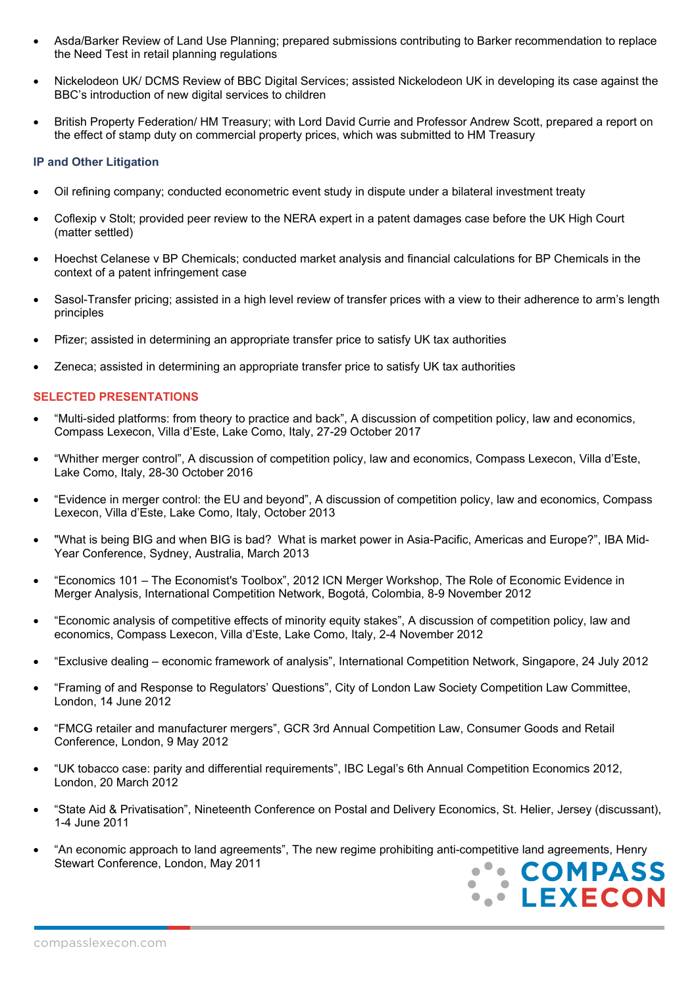- Asda/Barker Review of Land Use Planning; prepared submissions contributing to Barker recommendation to replace the Need Test in retail planning regulations
- Nickelodeon UK/ DCMS Review of BBC Digital Services; assisted Nickelodeon UK in developing its case against the BBC's introduction of new digital services to children
- British Property Federation/ HM Treasury; with Lord David Currie and Professor Andrew Scott, prepared a report on the effect of stamp duty on commercial property prices, which was submitted to HM Treasury

### **IP and Other Litigation**

- Oil refining company; conducted econometric event study in dispute under a bilateral investment treaty
- Coflexip v Stolt; provided peer review to the NERA expert in a patent damages case before the UK High Court (matter settled)
- Hoechst Celanese v BP Chemicals; conducted market analysis and financial calculations for BP Chemicals in the context of a patent infringement case
- Sasol-Transfer pricing; assisted in a high level review of transfer prices with a view to their adherence to arm's length principles
- Pfizer; assisted in determining an appropriate transfer price to satisfy UK tax authorities
- Zeneca; assisted in determining an appropriate transfer price to satisfy UK tax authorities

### **SELECTED PRESENTATIONS**

- "Multi-sided platforms: from theory to practice and back", A discussion of competition policy, law and economics, Compass Lexecon, Villa d'Este, Lake Como, Italy, 27-29 October 2017
- "Whither merger control", A discussion of competition policy, law and economics, Compass Lexecon, Villa d'Este, Lake Como, Italy, 28-30 October 2016
- "Evidence in merger control: the EU and beyond", A discussion of competition policy, law and economics, Compass Lexecon, Villa d'Este, Lake Como, Italy, October 2013
- "What is being BIG and when BIG is bad? What is market power in Asia-Pacific, Americas and Europe?", IBA Mid-Year Conference, Sydney, Australia, March 2013
- "Economics 101 The Economist's Toolbox", 2012 ICN Merger Workshop, The Role of Economic Evidence in Merger Analysis, International Competition Network, Bogotá, Colombia, 8-9 November 2012
- "Economic analysis of competitive effects of minority equity stakes", A discussion of competition policy, law and economics, Compass Lexecon, Villa d'Este, Lake Como, Italy, 2-4 November 2012
- "Exclusive dealing economic framework of analysis", International Competition Network, Singapore, 24 July 2012
- "Framing of and Response to Regulators' Questions", City of London Law Society Competition Law Committee, London, 14 June 2012
- "FMCG retailer and manufacturer mergers", GCR 3rd Annual Competition Law, Consumer Goods and Retail Conference, London, 9 May 2012
- "UK tobacco case: parity and differential requirements", IBC Legal's 6th Annual Competition Economics 2012, London, 20 March 2012
- "State Aid & Privatisation", Nineteenth Conference on Postal and Delivery Economics, St. Helier, Jersey (discussant), 1-4 June 2011
- "An economic approach to land agreements", The new regime prohibiting anti-competitive land agreements, Henry Stewart Conference, London, May 2011